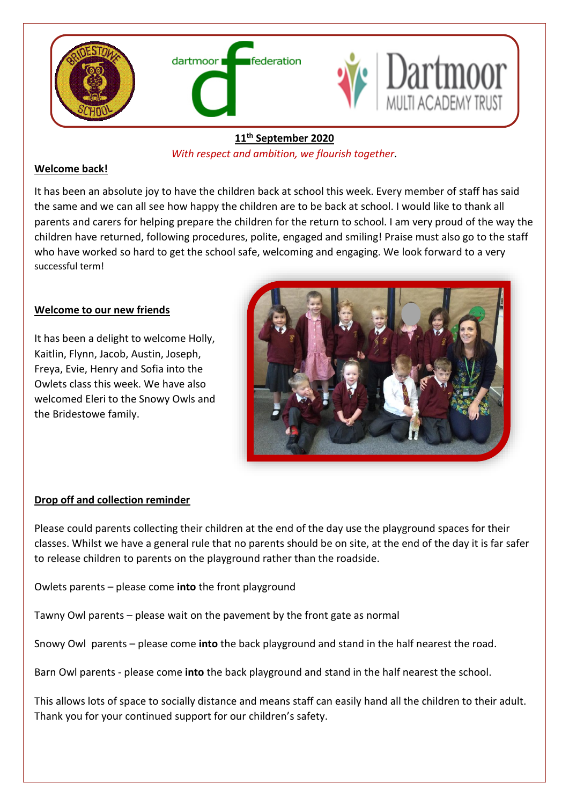

# **11th September 2020**

*With respect and ambition, we flourish together.* 

# **Welcome back!**

It has been an absolute joy to have the children back at school this week. Every member of staff has said the same and we can all see how happy the children are to be back at school. I would like to thank all parents and carers for helping prepare the children for the return to school. I am very proud of the way the children have returned, following procedures, polite, engaged and smiling! Praise must also go to the staff who have worked so hard to get the school safe, welcoming and engaging. We look forward to a very successful term!

# **Welcome to our new friends**

It has been a delight to welcome Holly, Kaitlin, Flynn, Jacob, Austin, Joseph, Freya, Evie, Henry and Sofia into the Owlets class this week. We have also welcomed Eleri to the Snowy Owls and the Bridestowe family.



## **Drop off and collection reminder**

Please could parents collecting their children at the end of the day use the playground spaces for their classes. Whilst we have a general rule that no parents should be on site, at the end of the day it is far safer to release children to parents on the playground rather than the roadside.

Owlets parents – please come **into** the front playground

Tawny Owl parents – please wait on the pavement by the front gate as normal

Snowy Owl parents – please come **into** the back playground and stand in the half nearest the road.

Barn Owl parents - please come **into** the back playground and stand in the half nearest the school.

This allows lots of space to socially distance and means staff can easily hand all the children to their adult. Thank you for your continued support for our children's safety.